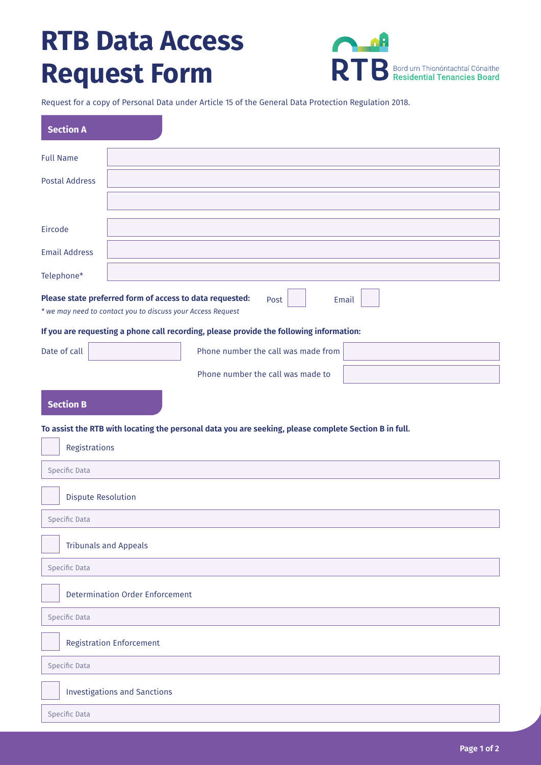## **RTB Data Access Request Form**

| - 80 | <b>TR</b> Bord um Thionóntachtaí Cónaithe |
|------|-------------------------------------------|

Request for a copy of Personal Data under Article 15 of the General Data Protection Regulation 2018.

| <b>Section A</b>                                                                                                                         |                                     |  |  |  |
|------------------------------------------------------------------------------------------------------------------------------------------|-------------------------------------|--|--|--|
| <b>Full Name</b>                                                                                                                         |                                     |  |  |  |
| <b>Postal Address</b>                                                                                                                    |                                     |  |  |  |
|                                                                                                                                          |                                     |  |  |  |
| Eircode                                                                                                                                  |                                     |  |  |  |
| <b>Email Address</b>                                                                                                                     |                                     |  |  |  |
| Telephone*                                                                                                                               |                                     |  |  |  |
| Please state preferred form of access to data requested:<br>Post<br>Email<br>* we may need to contact you to discuss your Access Request |                                     |  |  |  |
| If you are requesting a phone call recording, please provide the following information:                                                  |                                     |  |  |  |
| Date of call                                                                                                                             | Phone number the call was made from |  |  |  |
|                                                                                                                                          | Phone number the call was made to   |  |  |  |
| <b>Section B</b>                                                                                                                         |                                     |  |  |  |
| To assist the RTB with locating the personal data you are seeking, please complete Section B in full.                                    |                                     |  |  |  |
| Registrations                                                                                                                            |                                     |  |  |  |
| Specific Data                                                                                                                            |                                     |  |  |  |
| <b>Dispute Resolution</b>                                                                                                                |                                     |  |  |  |
| Specific Data                                                                                                                            |                                     |  |  |  |
| <b>Tribunals and Appeals</b>                                                                                                             |                                     |  |  |  |
| Specific Data                                                                                                                            |                                     |  |  |  |
| <b>Determination Order Enforcement</b>                                                                                                   |                                     |  |  |  |
| Specific Data                                                                                                                            |                                     |  |  |  |
| <b>Registration Enforcement</b>                                                                                                          |                                     |  |  |  |
| Specific Data                                                                                                                            |                                     |  |  |  |
| <b>Investigations and Sanctions</b>                                                                                                      |                                     |  |  |  |
| Specific Data                                                                                                                            |                                     |  |  |  |